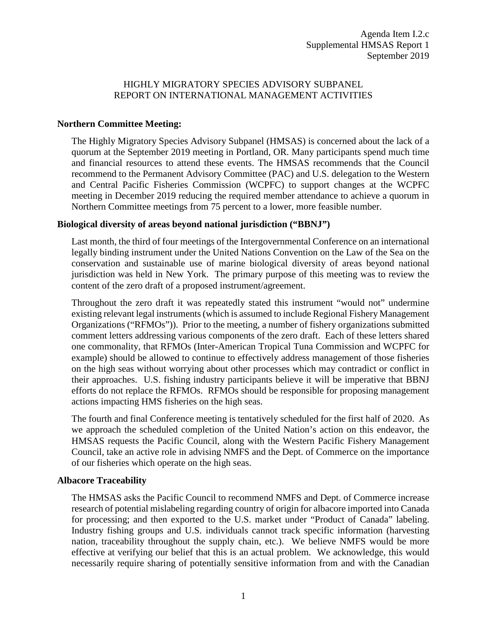## HIGHLY MIGRATORY SPECIES ADVISORY SUBPANEL REPORT ON INTERNATIONAL MANAGEMENT ACTIVITIES

## **Northern Committee Meeting:**

The Highly Migratory Species Advisory Subpanel (HMSAS) is concerned about the lack of a quorum at the September 2019 meeting in Portland, OR. Many participants spend much time and financial resources to attend these events. The HMSAS recommends that the Council recommend to the Permanent Advisory Committee (PAC) and U.S. delegation to the Western and Central Pacific Fisheries Commission (WCPFC) to support changes at the WCPFC meeting in December 2019 reducing the required member attendance to achieve a quorum in Northern Committee meetings from 75 percent to a lower, more feasible number.

## **Biological diversity of areas beyond national jurisdiction ("BBNJ")**

Last month, the third of four meetings of the Intergovernmental Conference on an international legally binding instrument under the United Nations Convention on the Law of the Sea on the conservation and sustainable use of marine biological diversity of areas beyond national jurisdiction was held in New York. The primary purpose of this meeting was to review the content of the zero draft of a proposed instrument/agreement.

Throughout the zero draft it was repeatedly stated this instrument "would not" undermine existing relevant legal instruments (which is assumed to include Regional Fishery Management Organizations ("RFMOs")). Prior to the meeting, a number of fishery organizations submitted comment letters addressing various components of the zero draft. Each of these letters shared one commonality, that RFMOs (Inter-American Tropical Tuna Commission and WCPFC for example) should be allowed to continue to effectively address management of those fisheries on the high seas without worrying about other processes which may contradict or conflict in their approaches. U.S. fishing industry participants believe it will be imperative that BBNJ efforts do not replace the RFMOs. RFMOs should be responsible for proposing management actions impacting HMS fisheries on the high seas.

The fourth and final Conference meeting is tentatively scheduled for the first half of 2020. As we approach the scheduled completion of the United Nation's action on this endeavor, the HMSAS requests the Pacific Council, along with the Western Pacific Fishery Management Council, take an active role in advising NMFS and the Dept. of Commerce on the importance of our fisheries which operate on the high seas.

## **Albacore Traceability**

The HMSAS asks the Pacific Council to recommend NMFS and Dept. of Commerce increase research of potential mislabeling regarding country of origin for albacore imported into Canada for processing; and then exported to the U.S. market under "Product of Canada" labeling. Industry fishing groups and U.S. individuals cannot track specific information (harvesting nation, traceability throughout the supply chain, etc.). We believe NMFS would be more effective at verifying our belief that this is an actual problem. We acknowledge, this would necessarily require sharing of potentially sensitive information from and with the Canadian